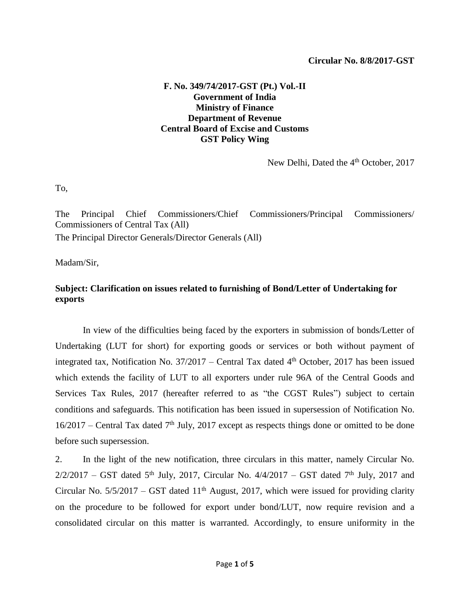## **F. No. 349/74/2017-GST (Pt.) Vol.-II Government of India Ministry of Finance Department of Revenue Central Board of Excise and Customs GST Policy Wing**

New Delhi, Dated the 4<sup>th</sup> October, 2017

To,

The Principal Chief Commissioners/Chief Commissioners/Principal Commissioners/ Commissioners of Central Tax (All) The Principal Director Generals/Director Generals (All)

Madam/Sir,

## **Subject: Clarification on issues related to furnishing of Bond/Letter of Undertaking for exports**

In view of the difficulties being faced by the exporters in submission of bonds/Letter of Undertaking (LUT for short) for exporting goods or services or both without payment of integrated tax, Notification No. 37/2017 – Central Tax dated 4<sup>th</sup> October, 2017 has been issued which extends the facility of LUT to all exporters under rule 96A of the Central Goods and Services Tax Rules, 2017 (hereafter referred to as "the CGST Rules") subject to certain conditions and safeguards. This notification has been issued in supersession of Notification No.  $16/2017$  – Central Tax dated 7<sup>th</sup> July, 2017 except as respects things done or omitted to be done before such supersession.

2. In the light of the new notification, three circulars in this matter, namely Circular No.  $2/2/2017$  – GST dated 5<sup>th</sup> July, 2017, Circular No.  $4/4/2017$  – GST dated 7<sup>th</sup> July, 2017 and Circular No.  $5/5/2017 - GST$  dated  $11<sup>th</sup>$  August, 2017, which were issued for providing clarity on the procedure to be followed for export under bond/LUT, now require revision and a consolidated circular on this matter is warranted. Accordingly, to ensure uniformity in the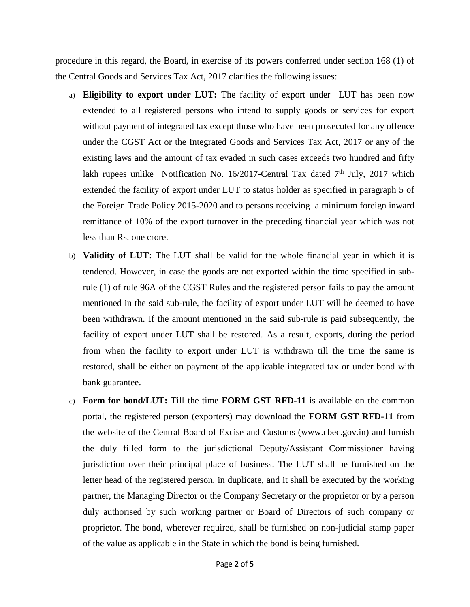procedure in this regard, the Board, in exercise of its powers conferred under section 168 (1) of the Central Goods and Services Tax Act, 2017 clarifies the following issues:

- a) **Eligibility to export under LUT:** The facility of export under LUT has been now extended to all registered persons who intend to supply goods or services for export without payment of integrated tax except those who have been prosecuted for any offence under the CGST Act or the Integrated Goods and Services Tax Act, 2017 or any of the existing laws and the amount of tax evaded in such cases exceeds two hundred and fifty lakh rupees unlike Notification No. 16/2017-Central Tax dated  $7<sup>th</sup>$  July, 2017 which extended the facility of export under LUT to status holder as specified in paragraph 5 of the Foreign Trade Policy 2015-2020 and to persons receiving a minimum foreign inward remittance of 10% of the export turnover in the preceding financial year which was not less than Rs. one crore.
- b) **Validity of LUT:** The LUT shall be valid for the whole financial year in which it is tendered. However, in case the goods are not exported within the time specified in subrule (1) of rule 96A of the CGST Rules and the registered person fails to pay the amount mentioned in the said sub-rule, the facility of export under LUT will be deemed to have been withdrawn. If the amount mentioned in the said sub-rule is paid subsequently, the facility of export under LUT shall be restored. As a result, exports, during the period from when the facility to export under LUT is withdrawn till the time the same is restored, shall be either on payment of the applicable integrated tax or under bond with bank guarantee.
- c) **Form for bond/LUT:** Till the time **FORM GST RFD-11** is available on the common portal, the registered person (exporters) may download the **FORM GST RFD-11** from the website of the Central Board of Excise and Customs (www.cbec.gov.in) and furnish the duly filled form to the jurisdictional Deputy/Assistant Commissioner having jurisdiction over their principal place of business. The LUT shall be furnished on the letter head of the registered person, in duplicate, and it shall be executed by the working partner, the Managing Director or the Company Secretary or the proprietor or by a person duly authorised by such working partner or Board of Directors of such company or proprietor. The bond, wherever required, shall be furnished on non-judicial stamp paper of the value as applicable in the State in which the bond is being furnished.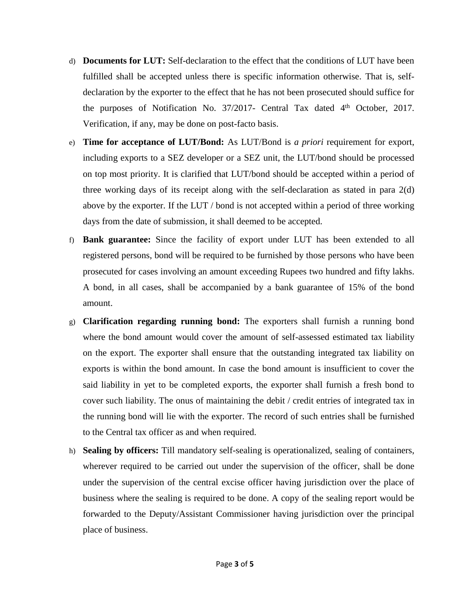- d) **Documents for LUT:** Self-declaration to the effect that the conditions of LUT have been fulfilled shall be accepted unless there is specific information otherwise. That is, selfdeclaration by the exporter to the effect that he has not been prosecuted should suffice for the purposes of Notification No.  $37/2017$ - Central Tax dated  $4<sup>th</sup>$  October, 2017. Verification, if any, may be done on post-facto basis.
- e) **Time for acceptance of LUT/Bond:** As LUT/Bond is *a priori* requirement for export, including exports to a SEZ developer or a SEZ unit, the LUT/bond should be processed on top most priority. It is clarified that LUT/bond should be accepted within a period of three working days of its receipt along with the self-declaration as stated in para 2(d) above by the exporter. If the LUT / bond is not accepted within a period of three working days from the date of submission, it shall deemed to be accepted.
- f) **Bank guarantee:** Since the facility of export under LUT has been extended to all registered persons, bond will be required to be furnished by those persons who have been prosecuted for cases involving an amount exceeding Rupees two hundred and fifty lakhs. A bond, in all cases, shall be accompanied by a bank guarantee of 15% of the bond amount.
- g) **Clarification regarding running bond:** The exporters shall furnish a running bond where the bond amount would cover the amount of self-assessed estimated tax liability on the export. The exporter shall ensure that the outstanding integrated tax liability on exports is within the bond amount. In case the bond amount is insufficient to cover the said liability in yet to be completed exports, the exporter shall furnish a fresh bond to cover such liability. The onus of maintaining the debit / credit entries of integrated tax in the running bond will lie with the exporter. The record of such entries shall be furnished to the Central tax officer as and when required.
- h) **Sealing by officers:** Till mandatory self-sealing is operationalized, sealing of containers, wherever required to be carried out under the supervision of the officer, shall be done under the supervision of the central excise officer having jurisdiction over the place of business where the sealing is required to be done. A copy of the sealing report would be forwarded to the Deputy/Assistant Commissioner having jurisdiction over the principal place of business.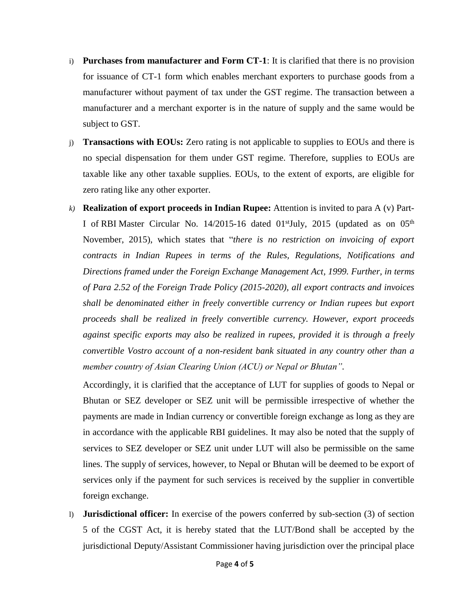- i) **Purchases from manufacturer and Form CT-1**: It is clarified that there is no provision for issuance of CT-1 form which enables merchant exporters to purchase goods from a manufacturer without payment of tax under the GST regime. The transaction between a manufacturer and a merchant exporter is in the nature of supply and the same would be subject to GST.
- j) **Transactions with EOUs:** Zero rating is not applicable to supplies to EOUs and there is no special dispensation for them under GST regime. Therefore, supplies to EOUs are taxable like any other taxable supplies. EOUs, to the extent of exports, are eligible for zero rating like any other exporter.
- *k)* **Realization of export proceeds in Indian Rupee:** Attention is invited to para A (v) Part-I of [RBI](http://www.business-standard.com/search?type=news&q=Rbi) Master Circular No. 14/2015-16 dated 01<sup>st</sup>July, 2015 (updated as on 05<sup>th</sup> November, 2015), which states that "*there is no restriction on invoicing of export contracts in Indian Rupees in terms of the Rules, Regulations, Notifications and Directions framed under the Foreign Exchange Management Act, 1999. Further, in terms of Para 2.52 of the Foreign Trade Policy (2015-2020), all export contracts and invoices shall be denominated either in freely convertible currency or Indian rupees but export proceeds shall be realized in freely convertible currency. However, export proceeds against specific exports may also be realized in rupees, provided it is through a freely convertible Vostro account of a non-resident bank situated in any country other than a member country of Asian Clearing Union (ACU) or Nepal or Bhutan".*

Accordingly, it is clarified that the acceptance of LUT for supplies of goods to Nepal or Bhutan or SEZ developer or SEZ unit will be permissible irrespective of whether the payments are made in Indian currency or convertible foreign exchange as long as they are in accordance with the applicable RBI guidelines. It may also be noted that the supply of services to SEZ developer or SEZ unit under LUT will also be permissible on the same lines. The supply of services, however, to Nepal or Bhutan will be deemed to be export of services only if the payment for such services is received by the supplier in convertible foreign exchange.

l) **Jurisdictional officer:** In exercise of the powers conferred by sub-section (3) of section 5 of the CGST Act, it is hereby stated that the LUT/Bond shall be accepted by the jurisdictional Deputy/Assistant Commissioner having jurisdiction over the principal place